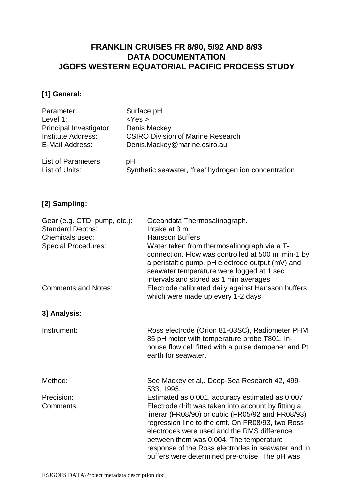# **FRANKLIN CRUISES FR 8/90, 5/92 AND 8/93 DATA DOCUMENTATION JGOFS WESTERN EQUATORIAL PACIFIC PROCESS STUDY**

# **[1] General:**

| Parameter:                 | Surface pH                                            |
|----------------------------|-------------------------------------------------------|
| Level $1$ :                | $<$ Yes $>$                                           |
| Principal Investigator:    | Denis Mackey                                          |
| <b>Institute Address:</b>  | <b>CSIRO Division of Marine Research</b>              |
| E-Mail Address:            | Denis.Mackey@marine.csiro.au                          |
| <b>List of Parameters:</b> | pH                                                    |
| List of Units:             | Synthetic seawater, 'free' hydrogen ion concentration |

# **[2] Sampling:**

| Gear (e.g. CTD, pump, etc.):<br><b>Standard Depths:</b><br>Chemicals used:<br><b>Special Procedures:</b> | Oceandata Thermosalinograph.<br>Intake at 3 m<br><b>Hansson Buffers</b><br>Water taken from thermosalinograph via a T-<br>connection. Flow was controlled at 500 ml min-1 by<br>a peristaltic pump. pH electrode output (mV) and<br>seawater temperature were logged at 1 sec                                                                                 |
|----------------------------------------------------------------------------------------------------------|---------------------------------------------------------------------------------------------------------------------------------------------------------------------------------------------------------------------------------------------------------------------------------------------------------------------------------------------------------------|
| <b>Comments and Notes:</b>                                                                               | intervals and stored as 1 min averages<br>Electrode calibrated daily against Hansson buffers<br>which were made up every 1-2 days                                                                                                                                                                                                                             |
| 3] Analysis:                                                                                             |                                                                                                                                                                                                                                                                                                                                                               |
| Instrument:                                                                                              | Ross electrode (Orion 81-03SC), Radiometer PHM<br>85 pH meter with temperature probe T801. In-<br>house flow cell fitted with a pulse dampener and Pt<br>earth for seawater.                                                                                                                                                                                  |
| Method:                                                                                                  | See Mackey et al,. Deep-Sea Research 42, 499-<br>533, 1995.                                                                                                                                                                                                                                                                                                   |
| Precision:                                                                                               | Estimated as 0.001, accuracy estimated as 0.007                                                                                                                                                                                                                                                                                                               |
| Comments:                                                                                                | Electrode drift was taken into account by fitting a<br>linerar (FR08/90) or cubic (FR05/92 and FR08/93)<br>regression line to the emf. On FR08/93, two Ross<br>electrodes were used and the RMS difference<br>between them was 0.004. The temperature<br>response of the Ross electrodes in seawater and in<br>buffers were determined pre-cruise. The pH was |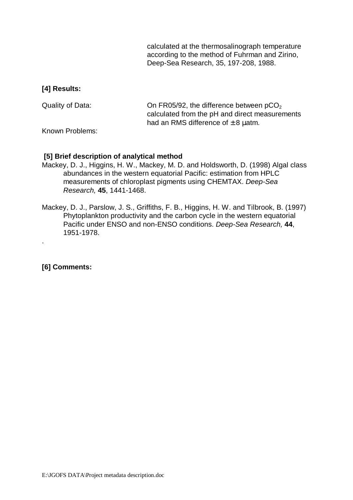calculated at the thermosalinograph temperature according to the method of Fuhrman and Zirino, Deep-Sea Research, 35, 197-208, 1988.

## **[4] Results:**

| Quality of Data: | On FR05/92, the difference between $pCO2$      |
|------------------|------------------------------------------------|
|                  | calculated from the pH and direct measurements |
|                  | had an RMS difference of $\pm$ 8 $\mu$ atm.    |

Known Problems:

## **[5] Brief description of analytical method**

- Mackey, D. J., Higgins, H. W., Mackey, M. D. and Holdsworth, D. (1998) Algal class abundances in the western equatorial Pacific: estimation from HPLC measurements of chloroplast pigments using CHEMTAX. Deep-Sea Research, **45**, 1441-1468.
- Mackey, D. J., Parslow, J. S., Griffiths, F. B., Higgins, H. W. and Tilbrook, B. (1997) Phytoplankton productivity and the carbon cycle in the western equatorial Pacific under ENSO and non-ENSO conditions. Deep-Sea Research, **44**, 1951-1978.

## **[6] Comments:**

.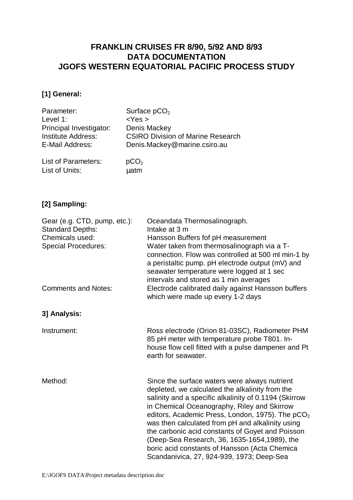# **FRANKLIN CRUISES FR 8/90, 5/92 AND 8/93 DATA DOCUMENTATION JGOFS WESTERN EQUATORIAL PACIFIC PROCESS STUDY**

# **[1] General:**

| Parameter:                 | Surface $pCO2$                           |
|----------------------------|------------------------------------------|
| Level 1:                   | $<$ Yes $>$                              |
| Principal Investigator:    | Denis Mackey                             |
| <b>Institute Address:</b>  | <b>CSIRO Division of Marine Research</b> |
| E-Mail Address:            | Denis.Mackey@marine.csiro.au             |
| <b>List of Parameters:</b> | pCO <sub>2</sub>                         |
| List of Units:             | μatm                                     |

## **[2] Sampling:**

| Gear (e.g. CTD, pump, etc.):<br><b>Standard Depths:</b><br>Chemicals used:<br><b>Special Procedures:</b> | Oceandata Thermosalinograph.<br>Intake at 3 m<br>Hansson Buffers fof pH measurement<br>Water taken from thermosalinograph via a T-<br>connection. Flow was controlled at 500 ml min-1 by<br>a peristaltic pump. pH electrode output (mV) and<br>seawater temperature were logged at 1 sec                                                                                                                                                                                                                                       |
|----------------------------------------------------------------------------------------------------------|---------------------------------------------------------------------------------------------------------------------------------------------------------------------------------------------------------------------------------------------------------------------------------------------------------------------------------------------------------------------------------------------------------------------------------------------------------------------------------------------------------------------------------|
| <b>Comments and Notes:</b>                                                                               | intervals and stored as 1 min averages<br>Electrode calibrated daily against Hansson buffers<br>which were made up every 1-2 days                                                                                                                                                                                                                                                                                                                                                                                               |
| 3] Analysis:                                                                                             |                                                                                                                                                                                                                                                                                                                                                                                                                                                                                                                                 |
| Instrument:                                                                                              | Ross electrode (Orion 81-03SC), Radiometer PHM<br>85 pH meter with temperature probe T801. In-<br>house flow cell fitted with a pulse dampener and Pt<br>earth for seawater.                                                                                                                                                                                                                                                                                                                                                    |
| Method:                                                                                                  | Since the surface waters were always nutrient<br>depleted, we calculated the alkalinity from the<br>salinity and a specific alkalinity of 0.1194 (Skirrow<br>in Chemical Oceanography, Riley and Skirrow<br>editors, Academic Press, London, 1975). The pCO <sub>2</sub><br>was then calculated from pH and alkalinity using<br>the carbonic acid constants of Goyet and Poisson<br>(Deep-Sea Research, 36, 1635-1654, 1989), the<br>boric acid constants of Hansson (Acta Chemica<br>Scandanivica, 27, 924-939, 1973; Deep-Sea |